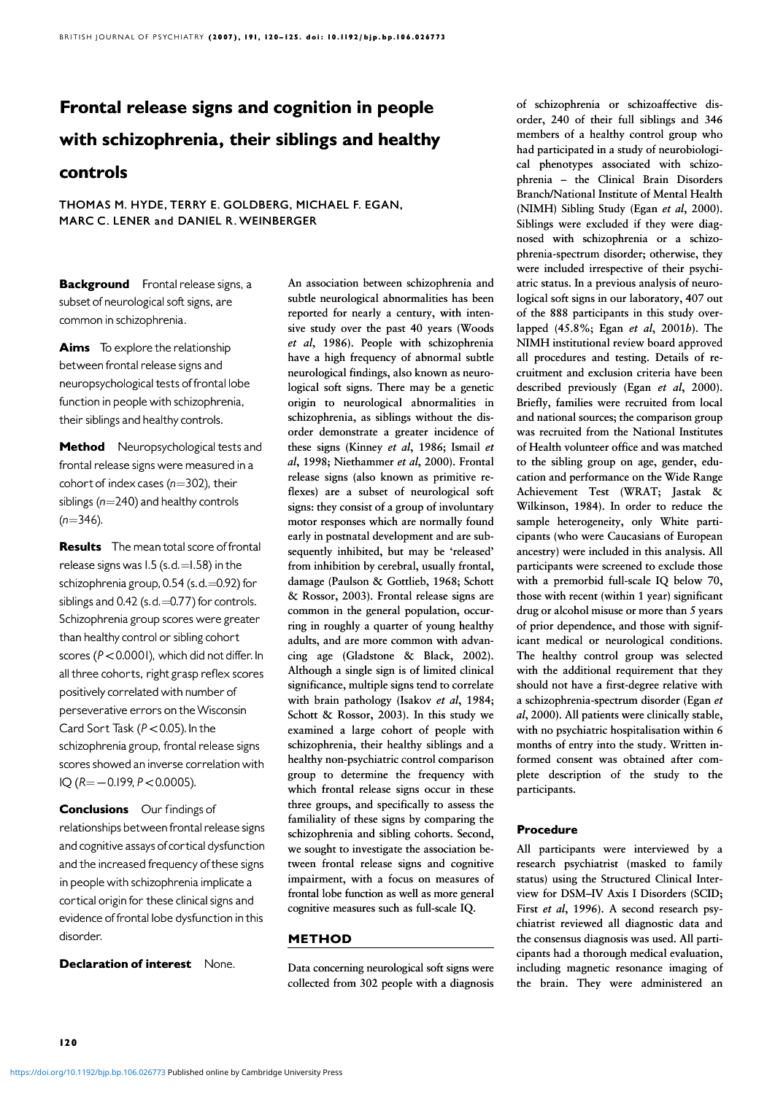# Frontal release signs and cognition in people with schizophrenia, their siblings and healthy

# controls

THOMAS M. HYDE, TERRY E. GOLDBERG, MICHAEL F. EGAN, MARC C. LENER and DANIEL R. WEINBERGER

**Background** Frontal release signs, a subset of neurological soft signs, are common in schizophrenia.

Aims To explore the relationship between frontal release signs and neuropsychological tests of frontal lobe function in people with schizophrenia, their siblings and healthy controls.

Method Neuropsychological tests and frontal release signs were measured in a cohort of index cases ( $n=302$ ), their siblings ( $n=240$ ) and healthy controls  $(n=346)$ .

**Results** The mean total score of frontal release signs was  $1.5$  (s.d.  $=$  1.58) in the schizophrenia group,  $0.54$  (s.d.  $=$  0.92) for siblings and  $0.42$  (s.d.  $=$  0.77) for controls. Schizophrenia group scores were greater than healthy control or sibling cohort scores ( $P < 0.0001$ ), which did not differ. In all three cohorts, right grasp reflex scores positively correlated with number of perseverative errors on the Wisconsin Card Sort Task ( $P < 0.05$ ). In the schizophrenia group, frontal release signs scores showed an inverse correlation with  $IQ ( R = -0.199, P < 0.0005).$ 

Conclusions Our findings of relationships between frontal release signs and cognitive assays of cortical dysfunction and the increased frequency of these signs in people with schizophrenia implicate a cortical origin for these clinical signs and evidence of frontal lobe dysfunction in this disorder.

**Declaration of interest** None.

An association between schizophrenia and subtle neurological abnormalities has been reported for nearly a century, with intensive study over the past 40 years (Woods et al, 1986). People with schizophrenia have a high frequency of abnormal subtle neurological findings, also known as neurological soft signs. There may be a genetic origin to neurological abnormalities in schizophrenia, as siblings without the disorder demonstrate a greater incidence of these signs (Kinney et al, 1986; Ismail et al, 1998; Niethammer et al, 2000). Frontal release signs (also known as primitive reflexes) are a subset of neurological soft signs: they consist of a group of involuntary motor responses which are normally found early in postnatal development and are subsequently inhibited, but may be 'released' from inhibition by cerebral, usually frontal, damage (Paulson & Gottlieb, 1968; Schott & Rossor, 2003). Frontal release signs are common in the general population, occurring in roughly a quarter of young healthy adults, and are more common with advancing age (Gladstone & Black, 2002). Although a single sign is of limited clinical significance, multiple signs tend to correlate with brain pathology (Isakov et al,  $1984$ ; Schott & Rossor, 2003). In this study we examined a large cohort of people with schizophrenia, their healthy siblings and a healthy non-psychiatric control comparison group to determine the frequency with which frontal release signs occur in these three groups, and specifically to assess the familiality of these signs by comparing the schizophrenia and sibling cohorts. Second, we sought to investigate the association between frontal release signs and cognitive impairment, with a focus on measures of frontal lobe function as well as more general cognitive measures such as full-scale IQ.

#### METHOD

Data concerning neurological soft signs were collected from 302 people with a diagnosis of schizophrenia or schizoaffective disorder, 240 of their full siblings and 346 members of a healthy control group who had participated in a study of neurobiological phenotypes associated with schizophrenia – the Clinical Brain Disorders Branch/National Institute of Mental Health (NIMH) Sibling Study (Egan et al, 2000). Siblings were excluded if they were diagnosed with schizophrenia or a schizophrenia-spectrum disorder; otherwise, they were included irrespective of their psychiatric status. In a previous analysis of neurological soft signs in our laboratory, 407 out of the 888 participants in this study overlapped  $(45.8\%;$  Egan et al,  $2001b$ ). The NIMH institutional review board approved all procedures and testing. Details of recruitment and exclusion criteria have been described previously (Egan et al,  $2000$ ). Briefly, families were recruited from local and national sources; the comparison group was recruited from the National Institutes of Health volunteer office and was matched to the sibling group on age, gender, education and performance on the Wide Range Achievement Test (WRAT; Jastak & Wilkinson, 1984). In order to reduce the sample heterogeneity, only White participants (who were Caucasians of European ancestry) were included in this analysis. All participants were screened to exclude those with a premorbid full-scale IQ below 70, those with recent (within 1 year) significant drug or alcohol misuse or more than 5 years of prior dependence, and those with significant medical or neurological conditions. The healthy control group was selected with the additional requirement that they should not have a first-degree relative with a schizophrenia-spectrum disorder (Egan et al, 2000). All patients were clinically stable, with no psychiatric hospitalisation within 6 months of entry into the study. Written informed consent was obtained after complete description of the study to the participants.

#### Procedure

All participants were interviewed by a research psychiatrist (masked to family status) using the Structured Clinical Interview for DSM–IV Axis I Disorders (SCID; First et al, 1996). A second research psychiatrist reviewed all diagnostic data and the consensus diagnosis was used. All participants had a thorough medical evaluation, including magnetic resonance imaging of the brain. They were administered an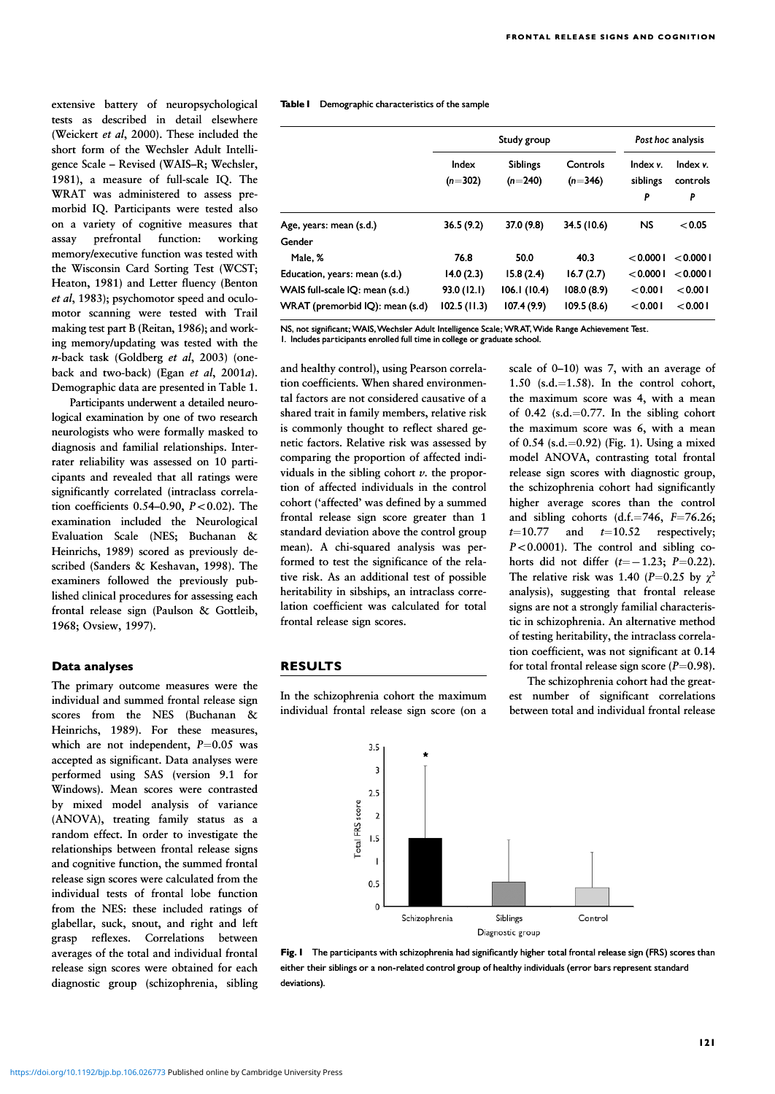extensive battery of neuropsychological tests as described in detail elsewhere (Weickert et al, 2000). These included the short form of the Wechsler Adult Intelligence Scale – Revised (WAIS–R; Wechsler, 1981), a measure of full-scale IQ. The WRAT was administered to assess premorbid IQ. Participants were tested also on a variety of cognitive measures that assay prefrontal function: working memory/executive function was tested with the Wisconsin Card Sorting Test (WCST; Heaton, 1981) and Letter fluency (Benton et al, 1983); psychomotor speed and oculomotor scanning were tested with Trail making test part B (Reitan, 1986); and working memory/updating was tested with the  $n$ -back task (Goldberg et al. 2003) (oneback and two-back) (Egan et al,  $2001a$ ). Demographic data are presented in Table 1.

Participants underwent a detailed neurological examination by one of two research neurologists who were formally masked to diagnosis and familial relationships. Interrater reliability was assessed on 10 participants and revealed that all ratings were significantly correlated (intraclass correlation coefficients  $0.54-0.90$ ,  $P<0.02$ ). The examination included the Neurological Evaluation Scale (NES; Buchanan & Heinrichs, 1989) scored as previously described (Sanders & Keshavan, 1998). The examiners followed the previously published clinical procedures for assessing each frontal release sign (Paulson & Gottleib, 1968; Ovsiew, 1997).

#### Data analyses

The primary outcome measures were the individual and summed frontal release sign scores from the NES (Buchanan & Heinrichs, 1989). For these measures, which are not independent,  $P=0.05$  was accepted as significant. Data analyses were performed using SAS (version 9.1 for Windows). Mean scores were contrasted by mixed model analysis of variance (ANOVA), treating family status as a random effect. In order to investigate the relationships between frontal release signs and cognitive function, the summed frontal release sign scores were calculated from the individual tests of frontal lobe function from the NES: these included ratings of glabellar, suck, snout, and right and left grasp reflexes. Correlations between averages of the total and individual frontal release sign scores were obtained for each diagnostic group (schizophrenia, sibling Table I Demographic characteristics of the sample

|                                 | Study group        |                              |                       | Post hoc analysis         |                           |
|---------------------------------|--------------------|------------------------------|-----------------------|---------------------------|---------------------------|
|                                 | Index<br>$(n=302)$ | <b>Siblings</b><br>$(n=240)$ | Controls<br>$(n=346)$ | Index v.<br>siblings<br>P | Index v.<br>controls<br>P |
| Age, years: mean (s.d.)         | 36.5(9.2)          | 37.0 (9.8)                   | 34.5 (10.6)           | <b>NS</b>                 | < 0.05                    |
| Gender                          |                    |                              |                       |                           |                           |
| Male, %                         | 76.8               | 50.0                         | 40.3                  | < 0.0001                  | < 0.0001                  |
| Education, years: mean (s.d.)   | 14.0(2.3)          | 15.8(2.4)                    | 16.7(2.7)             | < 0.0001                  | < 0.0001                  |
| WAIS full-scale IQ: mean (s.d.) | 93.0 (12.1)        | 106.1(10.4)                  | 108.0(8.9)            | < 0.001                   | < 0.001                   |
| WRAT (premorbid IQ): mean (s.d) | 102.5(11.3)        | 107.4(9.9)                   | 109.5(8.6)            | < 0.001                   | < 0.001                   |

NS, not significant; WAIS, Wechsler Adult Intelligence Scale; WRAT, Wide Range Achievement Test.

1. Includes participants enrolled full time in college or graduate school.

and healthy control), using Pearson correlation coefficients. When shared environmental factors are not considered causative of a shared trait in family members, relative risk is commonly thought to reflect shared genetic factors. Relative risk was assessed by comparing the proportion of affected individuals in the sibling cohort  $\nu$ , the proportion of affected individuals in the control cohort ('affected' was defined by a summed frontal release sign score greater than 1 standard deviation above the control group mean). A chi-squared analysis was performed to test the significance of the relative risk. As an additional test of possible heritability in sibships, an intraclass correlation coefficient was calculated for total frontal release sign scores.

### RESULTS

In the schizophrenia cohort the maximum individual frontal release sign score (on a scale of 0–10) was 7, with an average of 1.50  $(s.d.=1.58)$ . In the control cohort, the maximum score was 4, with a mean of  $0.42$  (s.d.=0.77. In the sibling cohort the maximum score was 6, with a mean of 0.54 (s.d.=0.92) (Fig. 1). Using a mixed model ANOVA, contrasting total frontal release sign scores with diagnostic group, the schizophrenia cohort had significantly higher average scores than the control and sibling cohorts (d.f. $=746$ ,  $F=76.26$ ;  $t=10.77$  and  $t=10.52$  respectively;  $P<0.0001$ ). The control and sibling cohorts did not differ  $(t=-1.23; P=0.22)$ . The relative risk was 1.40 (P=0.25 by  $\gamma^2$ analysis), suggesting that frontal release signs are not a strongly familial characteristic in schizophrenia. An alternative method of testing heritability, the intraclass correlation coefficient, was not significant at 0.14 for total frontal release sign score  $(P=0.98)$ .

The schizophrenia cohort had the greatest number of significant correlations between total and individual frontal release



Fig. 1 The participants with schizophrenia had significantly higher total frontal release sign (FRS) scores than either their siblings or a non-related control group of healthy individuals (error bars represent standard deviations).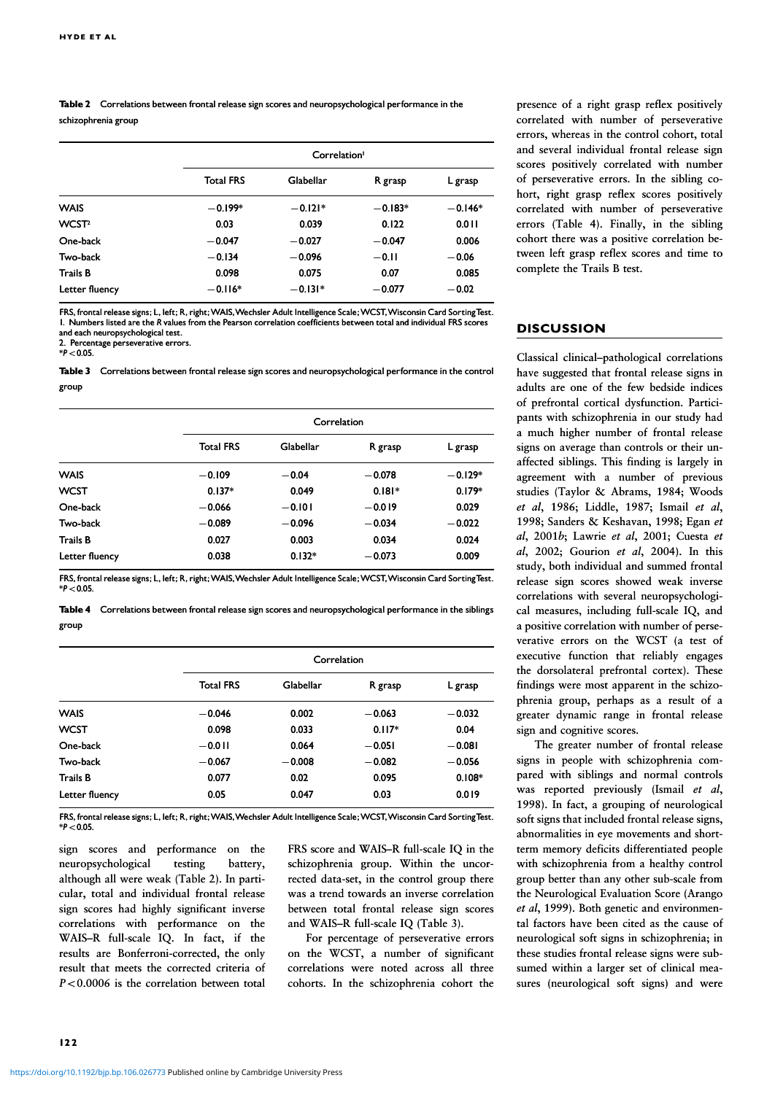Table 2 Correlations between frontal release sign scores and neuropsychological performance in the schizophrenia group

|                   |                  | Correlation <sup>1</sup> |           |           |  |
|-------------------|------------------|--------------------------|-----------|-----------|--|
|                   | <b>Total FRS</b> | Glabellar                | R grasp   | L grasp   |  |
| <b>WAIS</b>       | $-0.199*$        | $-0.121*$                | $-0.183*$ | $-0.146*$ |  |
| WCST <sup>2</sup> | 0.03             | 0.039                    | 0.122     | 0.011     |  |
| One-back          | $-0.047$         | $-0.027$                 | $-0.047$  | 0.006     |  |
| Two-back          | $-0.134$         | $-0.096$                 | $-0.11$   | $-0.06$   |  |
| <b>Trails B</b>   | 0.098            | 0.075                    | 0.07      | 0.085     |  |
| Letter fluency    | $-0.116*$        | $-0.131*$                | $-0.077$  | $-0.02$   |  |

FRS, frontal release signs; L, left; R, right; WAIS, Wechsler Adult Intelligence Scale; WCST, Wisconsin Card Sorting Test. 1. Numbers listed are the R values from the Pearson correlation coefficients between total and individual FRS scores and each neuropsychological test.

2. Percentage perseverative errors.

 $*P<0.05$ .

Table 3 Correlations between frontal release sign scores and neuropsychological performance in the control group

|                 | Correlation      |           |          |           |
|-----------------|------------------|-----------|----------|-----------|
|                 | <b>Total FRS</b> | Glabellar | R grasp  | L grasp   |
| <b>WAIS</b>     | $-0.109$         | $-0.04$   | $-0.078$ | $-0.129*$ |
| <b>WCST</b>     | $0.137*$         | 0.049     | $0.181*$ | $0.179*$  |
| One-back        | $-0.066$         | $-0.101$  | $-0.019$ | 0.029     |
| Two-back        | $-0.089$         | $-0.096$  | $-0.034$ | $-0.022$  |
| <b>Trails B</b> | 0.027            | 0.003     | 0.034    | 0.024     |
| Letter fluency  | 0.038            | $0.132*$  | $-0.073$ | 0.009     |

FRS, frontal release signs; L, left; R, right; WAIS, Wechsler Adult Intelligence Scale; WCST, Wisconsin Card SortingTest.  $*P < 0.05$ 

Table 4 Correlations between frontal release sign scores and neuropsychological performance in the siblings group

|                 |                  | Correlation |          |          |  |
|-----------------|------------------|-------------|----------|----------|--|
|                 | <b>Total FRS</b> | Glabellar   | R grasp  | L grasp  |  |
| <b>WAIS</b>     | $-0.046$         | 0.002       | $-0.063$ | $-0.032$ |  |
| <b>WCST</b>     | 0.098            | 0.033       | $0.117*$ | 0.04     |  |
| One-back        | $-0.011$         | 0.064       | $-0.051$ | $-0.081$ |  |
| Two-back        | $-0.067$         | $-0.008$    | $-0.082$ | $-0.056$ |  |
| <b>Trails B</b> | 0.077            | 0.02        | 0.095    | $0.108*$ |  |
| Letter fluency  | 0.05             | 0.047       | 0.03     | 0.019    |  |

FRS, frontal release signs; L, left; R, right; WAIS, Wechsler Adult Intelligence Scale; WCST, Wisconsin Card SortingTest.  $*P<0.05$ 

sign scores and performance on the neuropsychological testing battery, although all were weak (Table 2). In particular, total and individual frontal release sign scores had highly significant inverse correlations with performance on the WAIS-R full-scale IQ. In fact, if the results are Bonferroni-corrected, the only result that meets the corrected criteria of  $P < 0.0006$  is the correlation between total

FRS score and WAIS–R full-scale IQ in the schizophrenia group. Within the uncorrected data-set, in the control group there was a trend towards an inverse correlation between total frontal release sign scores and WAIS–R full-scale IQ (Table 3).

For percentage of perseverative errors on the WCST, a number of significant correlations were noted across all three cohorts. In the schizophrenia cohort the

presence of a right grasp reflex positively correlated with number of perseverative errors, whereas in the control cohort, total and several individual frontal release sign scores positively correlated with number of perseverative errors. In the sibling cohort, right grasp reflex scores positively correlated with number of perseverative errors (Table 4). Finally, in the sibling cohort there was a positive correlation between left grasp reflex scores and time to complete the Trails B test.

#### **DISCUSSION**

Classical clinical–pathological correlations have suggested that frontal release signs in adults are one of the few bedside indices of prefrontal cortical dysfunction. Participants with schizophrenia in our study had a much higher number of frontal release signs on average than controls or their unaffected siblings. This finding is largely in agreement with a number of previous studies (Taylor & Abrams, 1984; Woods et al. 1986; Liddle, 1987; Ismail et al. 1998; Sanders & Keshavan, 1998; Egan et al,  $2001b$ ; Lawrie et al,  $2001$ ; Cuesta et al,  $2002$ ; Gourion et al,  $2004$ ). In this study, both individual and summed frontal release sign scores showed weak inverse correlations with several neuropsychological measures, including full-scale IQ, and a positive correlation with number of perseverative errors on the WCST (a test of executive function that reliably engages the dorsolateral prefrontal cortex). These findings were most apparent in the schizophrenia group, perhaps as a result of a greater dynamic range in frontal release sign and cognitive scores.

The greater number of frontal release signs in people with schizophrenia compared with siblings and normal controls was reported previously (Ismail  $et \, al$ , 1998). In fact, a grouping of neurological soft signs that included frontal release signs, abnormalities in eye movements and shortterm memory deficits differentiated people with schizophrenia from a healthy control group better than any other sub-scale from the Neurological Evaluation Score (Arango et al, 1999). Both genetic and environmental factors have been cited as the cause of neurological soft signs in schizophrenia; in these studies frontal release signs were subsumed within a larger set of clinical measures (neurological soft signs) and were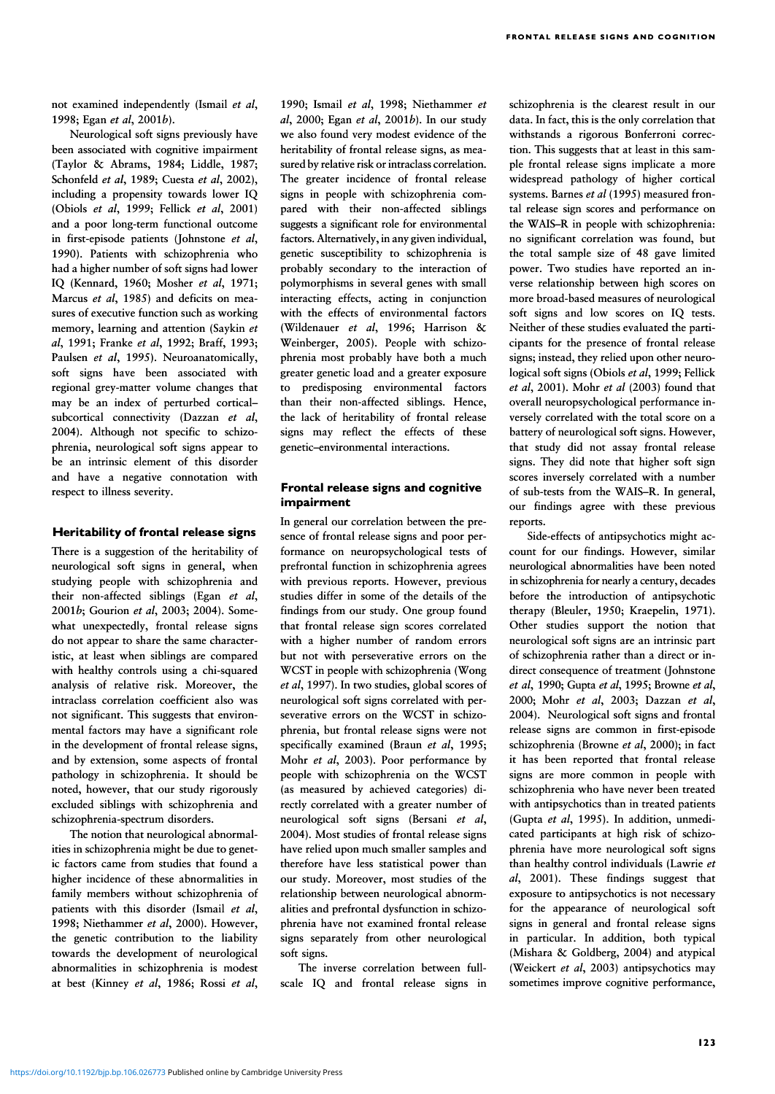not examined independently (Ismail et al, 1998; Egan et al, 2001b).

Neurological soft signs previously have been associated with cognitive impairment (Taylor & Abrams, 1984; Liddle, 1987; Schonfeld et al, 1989; Cuesta et al, 2002), including a propensity towards lower IQ (Obiols et al, 1999; Fellick et al, 2001) and a poor long-term functional outcome in first-episode patients (Johnstone et al, 1990). Patients with schizophrenia who had a higher number of soft signs had lower IQ (Kennard, 1960; Mosher et al, 1971; Marcus et al, 1985) and deficits on measures of executive function such as working memory, learning and attention (Saykin et al, 1991; Franke et al, 1992; Braff, 1993; Paulsen et al, 1995). Neuroanatomically, soft signs have been associated with regional grey-matter volume changes that may be an index of perturbed cortical– subcortical connectivity (Dazzan  $et$   $al$ , 2004). Although not specific to schizophrenia, neurological soft signs appear to be an intrinsic element of this disorder and have a negative connotation with respect to illness severity.

#### Heritability of frontal release signs

There is a suggestion of the heritability of neurological soft signs in general, when studying people with schizophrenia and their non-affected siblings (Egan et al, 2001b; Gourion et al, 2003; 2004). Somewhat unexpectedly, frontal release signs do not appear to share the same characteristic, at least when siblings are compared with healthy controls using a chi-squared analysis of relative risk. Moreover, the intraclass correlation coefficient also was not significant. This suggests that environmental factors may have a significant role in the development of frontal release signs, and by extension, some aspects of frontal pathology in schizophrenia. It should be noted, however, that our study rigorously excluded siblings with schizophrenia and schizophrenia-spectrum disorders.

The notion that neurological abnormalities in schizophrenia might be due to genetic factors came from studies that found a higher incidence of these abnormalities in family members without schizophrenia of patients with this disorder (Ismail et al, 1998; Niethammer et al, 2000). However, the genetic contribution to the liability towards the development of neurological abnormalities in schizophrenia is modest at best (Kinney et al, 1986; Rossi et al,

1990; Ismail et al, 1998; Niethammer et al, 2000; Egan et al, 2001 $b$ ). In our study we also found very modest evidence of the heritability of frontal release signs, as measured by relative risk or intraclass correlation. The greater incidence of frontal release signs in people with schizophrenia compared with their non-affected siblings suggests a significant role for environmental factors. Alternatively, in any given individual, genetic susceptibility to schizophrenia is probably secondary to the interaction of polymorphisms in several genes with small interacting effects, acting in conjunction with the effects of environmental factors (Wildenauer et al, 1996; Harrison & Weinberger, 2005). People with schizophrenia most probably have both a much greater genetic load and a greater exposure to predisposing environmental factors than their non-affected siblings. Hence, the lack of heritability of frontal release signs may reflect the effects of these genetic–environmental interactions.

## Frontal release signs and cognitive impairment

In general our correlation between the presence of frontal release signs and poor performance on neuropsychological tests of prefrontal function in schizophrenia agrees with previous reports. However, previous studies differ in some of the details of the findings from our study. One group found that frontal release sign scores correlated with a higher number of random errors but not with perseverative errors on the WCST in people with schizophrenia (Wong et al, 1997). In two studies, global scores of neurological soft signs correlated with perseverative errors on the WCST in schizophrenia, but frontal release signs were not specifically examined (Braun et al, 1995; Mohr et al, 2003). Poor performance by people with schizophrenia on the WCST (as measured by achieved categories) directly correlated with a greater number of neurological soft signs (Bersani et al, 2004). Most studies of frontal release signs have relied upon much smaller samples and therefore have less statistical power than our study. Moreover, most studies of the relationship between neurological abnormalities and prefrontal dysfunction in schizophrenia have not examined frontal release signs separately from other neurological soft signs.

The inverse correlation between fullscale IQ and frontal release signs in schizophrenia is the clearest result in our data. In fact, this is the only correlation that withstands a rigorous Bonferroni correction. This suggests that at least in this sample frontal release signs implicate a more widespread pathology of higher cortical systems. Barnes et al (1995) measured frontal release sign scores and performance on the WAIS–R in people with schizophrenia: no significant correlation was found, but the total sample size of 48 gave limited power. Two studies have reported an inverse relationship between high scores on more broad-based measures of neurological soft signs and low scores on IQ tests. Neither of these studies evaluated the participants for the presence of frontal release signs; instead, they relied upon other neurological soft signs (Obiols et al. 1999; Fellick et al, 2001). Mohr et al  $(2003)$  found that overall neuropsychological performance inversely correlated with the total score on a battery of neurological soft signs. However, that study did not assay frontal release signs. They did note that higher soft sign scores inversely correlated with a number of sub-tests from the WAIS–R. In general, our findings agree with these previous reports.

Side-effects of antipsychotics might account for our findings. However, similar neurological abnormalities have been noted in schizophrenia for nearly a century, decades before the introduction of antipsychotic therapy (Bleuler, 1950; Kraepelin, 1971). Other studies support the notion that neurological soft signs are an intrinsic part of schizophrenia rather than a direct or indirect consequence of treatment (Johnstone et al, 1990; Gupta et al, 1995; Browne et al, 2000; Mohr et al, 2003; Dazzan et al, 2004). Neurological soft signs and frontal release signs are common in first-episode schizophrenia (Browne et al, 2000); in fact it has been reported that frontal release signs are more common in people with schizophrenia who have never been treated with antipsychotics than in treated patients (Gupta et al, 1995). In addition, unmedicated participants at high risk of schizophrenia have more neurological soft signs than healthy control individuals (Lawrie et al, 2001). These findings suggest that exposure to antipsychotics is not necessary for the appearance of neurological soft signs in general and frontal release signs in particular. In addition, both typical (Mishara & Goldberg, 2004) and atypical (Weickert et al, 2003) antipsychotics may sometimes improve cognitive performance,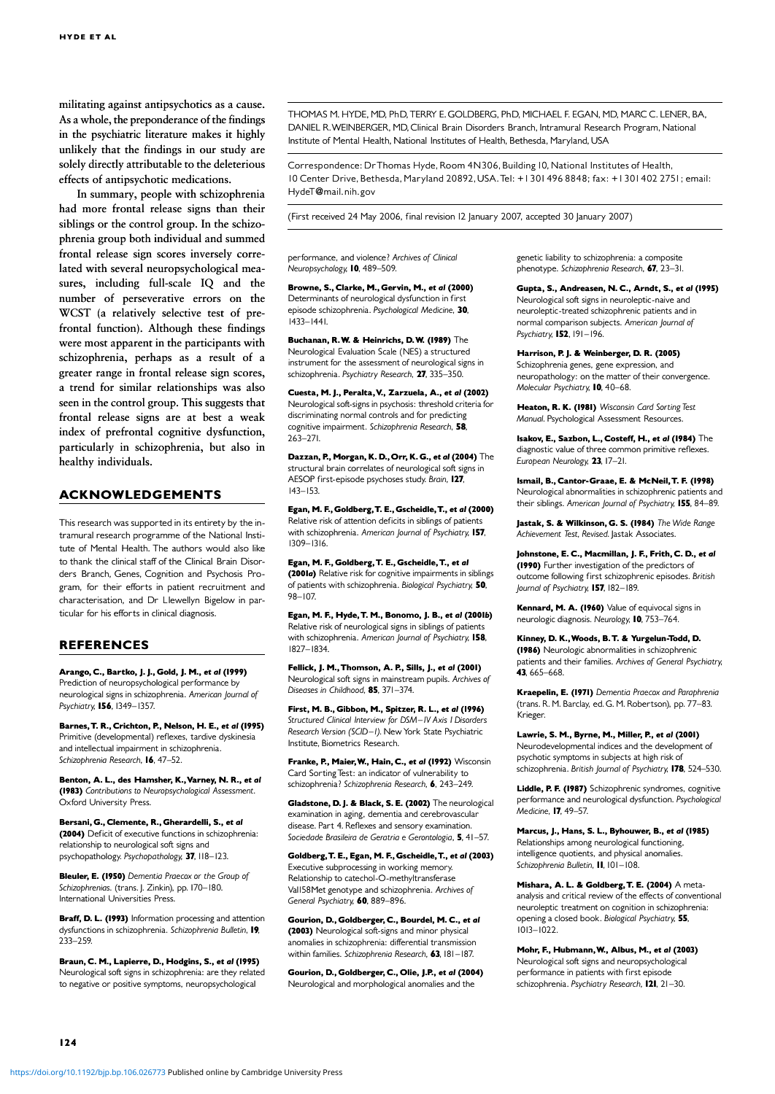militating against antipsychotics as a cause. As a whole, the preponderance of the findings in the psychiatric literature makes it highly unlikely that the findings in our study are solely directly attributable to the deleterious effects of antipsychotic medications.

In summary, people with schizophrenia had more frontal release signs than their siblings or the control group. In the schizophrenia group both individual and summed frontal release sign scores inversely correlated with several neuropsychological measures, including full-scale IQ and the number of perseverative errors on the WCST (a relatively selective test of prefrontal function). Although these findings were most apparent in the participants with schizophrenia, perhaps as a result of a greater range in frontal release sign scores, a trend for similar relationships was also seen in the control group. This suggests that frontal release signs are at best a weak index of prefrontal cognitive dysfunction, particularly in schizophrenia, but also in healthy individuals.

#### ACKNOWLEDGEMENTS

This research was supported in its entirety by the intramural research programme of the National Institute of Mental Health. The authors would also like to thank the clinical staff of the Clinical Brain Disorders Branch, Genes, Cognition and Psychosis Program, for their efforts in patient recruitment and characterisation, and Dr Llewellyn Bigelow in particular for his efforts in clinical diagnosis.

#### **REFERENCES**

Arango, C., Bartko, J. J., Gold, J. M., et al (1999) Prediction of neuropsychological performance by neurological signs in schizophrenia. American Journal of Psychiatry, 156, 1349-1357.

Barnes, T. R., Crichton, P., Nelson, H. E., et al (1995) Primitive (developmental) reflexes, tardive dyskinesia Primitive (developmental) reflexes, tardive dyskinesia and intellectual impairment in schizophrenia. Schizophrenia Research, 16, 47-52.

Benton, A. L., des Hamsher, K., Varney, N. R., et al (1983) Contributions to Neuropsychological Assessment. Oxford University Press.

Bersani, G., Clemente, R., Gherardelli, S., et al. (2004) Deficit of executive functions in schizophrenia: relationship to neurological soft signs and psychopathology. Psychopathology, 37, 118-123.

Bleuler, E. (1950) Dementia Praecox or the Group of Schizophrenias. (trans. J. Zinkin), pp. 170-180. International Universities Press.

Braff, D. L. (1993) Information processing and attention dysfunctions in schizophrenia. Schizophrenia Bulletin, 19, 233-259.

Braun, C. M., Lapierre, D., Hodgins, S., et al (1995) Neurological soft signs in schizophrenia: are they related to negative or positive symptoms, neuropsychological

THOMAS M. HYDE, MD, PhD, TERRY E. GOLDBERG, PhD, MICHAEL F. EGAN. MD. MARC C. I FNFR. BA. DANIEL R.WEINBERGER, MD, Clinical Brain Disorders Branch, Intramural Research Program, National Institute of Mental Health, National Institutes of Health, Bethesda, Maryland,USA

Correspondence: DrThomas Hyde, Room 4N306, Building 10, National Institutes of Health, 10 Center Drive, Bethesda, Maryland 20892, USA. Tel: +1301 496 8848; fax: +1301 402 2751; email: HydeT@mail.nih.gov

(First received 24 May 2006, final revision 12 January 2007, accepted 30 January 2007)

performance, and violence? Archives of Clinical Neuropsychology, 10, 489-509.

Browne, S., Clarke, M., Gervin, M., et al (2000) Determinants of neurological dysfunction in first episode schizophrenia. Psychological Medicine, 30,  $1433 - 1441.$ 

Buchanan, R.W. & Heinrichs, D.W. (1989) The Neurological Evaluation Scale (NES) a structured instrument for the assessment of neurological signs in schizophrenia. Psychiatry Research, 27, 335-350.

Cuesta, M. J., Peralta, V., Zarzuela, A., et al (2002) Neurological soft-signs in psychosis: threshold criteria for discriminating normal controls and for predicting cognitive impairment. Schizophrenia Research, 58,  $263 - 271$ 

Dazzan, P., Morgan, K. D.,Orr, K. G., et al (2004) The structural brain correlates of neurological soft signs in AESOP first-episode psychoses study. Brain, 127,  $143 - 153.$ 

Egan, M. F., Goldberg,T. E., Gscheidle,T., et al (2000) Relative risk of attention deficits in siblings of patients with schizophrenia. American Journal of Psychiatry, 157, 1309^1316.1309^1316.

Egan, M. F., Goldberg, T. E., Gscheidle, T., et al. (2001a) Relative risk for cognitive impairments in siblings of patients with schizophrenia. Biological Psychiatry, 50, 98-107

Egan, M. F., Hyde, T. M., Bonomo, J. B., et al (2001b) Relative risk of neurological signs in siblings of patients with schizophrenia. American Journal of Psychiatry, 158, 1827-1834.

Fellick, J. M., Thomson, A. P., Sills, J., et al (2001) Neurological soft signs in mainstream pupils. Archives of Diseases in Childhood, 85, 371-374.

First, M. B., Gibbon, M., Spitzer, R. L., et al (1996) Structured Clinical Interview for DSM-IV Axis I Disorders Research Version (SCID-I). New York State Psychiatric Institute, Biometrics Research.

Franke, P., Maier, W., Hain, C., et al (1992) Wisconsin Card Sorting Test: an indicator of vulnerability to schizophrenia? Schizophrenia Research, 6, 243-249.

Gladstone, D. J. & Black, S. E. (2002) The neurological examination in aging, dementia and cerebrovascular disease. Part 4. Reflexes and sensory examination. Sociedade Brasileira de Geratria e Gerontologia, 5, 41-57.

Goldberg, T. E., Egan, M. F., Gscheidle, T., et al (2003) Executive subprocessing in working memory. Relationship to catechol-O-methyltransferase Val158Met genotype and schizophrenia. Archives of General Psychiatry, 60, 889-896.

Gourion, D., Goldberger, C., Bourdel, M. C., et al. (2003) Neurological soft-signs and minor physical anomalies in schizophrenia: differential transmission within families. Schizophrenia Research.  $63$ , 181-187.

Gourion, D., Goldberger, C., Olie, J.P., et al (2004) Neurological and morphological anomalies and the

genetic liability to schizophrenia: a composite phenotype. Schizophrenia Research, 67, 23-31.

Gupta, S., Andreasen, N. C., Arndt, S., et al (1995) Neurological soft signs in neuroleptic-naive and neuroleptic-treated schizophrenic patients and in normal comparison subjects. American Journal of Psychiatry, 152, 191-196.

Harrison, P. J. & Weinberger, D. R. (2005) Schizophrenia genes, gene expression, and neuropathology: on the matter of their convergence.

Heaton, R. K. (1981) Wisconsin Card Sorting Test Manual. Psychological Assessment Resources. .

Molecular Psychiatry, 10, 40-68.

Isakov, E., Sazbon, L., Costeff, H., et al (1984) The diagnostic value of three common primitive reflexes. European Neurology, 23, 17-21.

Ismail, B., Cantor-Graae, E. & McNeil, T. F. (1998) Neurological abnormalities in schizophrenic patients and their siblings. American Journal of Psychiatry, 155, 84-89.

lastak, S. & Wilkinson, G. S. (1984) The Wide Range Achievement Test, Revised. Jastak Associates.

Johnstone, E. C., Macmillan, J. F., Frith, C. D., et al (1990) Further investigation of the predictors of outcome following first schizophrenic episodes. British Journal of Psychiatry, 157, 182-189.

Kennard, M. A. (1960) Value of equivocal signs in neurologic diagnosis. Neurology, 10, 753-764

Kinney, D. K., Woods, B. T. & Yurgelun-Todd, D. (1986) Neurologic abnormalities in schizophrenic patients and their families. Archives of General Psychiatry, 43, 665-668.

Kraepelin, E. (1971) Dementia Praecox and Paraphrenia (trans. R. M. Barclay, ed.G. M. Robertson), pp. 77^83. .<br>Krieger

Lawrie, S. M., Byrne, M., Miller, P., et al (2001) Neurodevelopmental indices and the development of psychotic symptoms in subjects at high risk of schizophrenia. British Journal of Psychiatry, 178, 524-530.

Liddle, P. F. (1987) Schizophrenic syndromes, cognitive performance and neurological dysfunction. Psychological Medicine. **17**, 49-57.

Marcus, J., Hans, S. L., Byhouwer, B., et al (1985) Relationships among neurological functioning, intelligence quotients, and physical anomalies. Schizophrenia Bulletin, II, 101-108.

Mishara, A. L. & Goldberg, T. E. (2004) A metaanalysis and critical review of the effects of conventional neuroleptic treatment on cognition in schizophrenia: opening a closed book. Biological Psychiatry, 55,  $1013 - 1022$ .

Mohr, F., Hubmann,W., Albus, M., et al (2003) Neurological soft signs and neuropsychological performance in patients with first episode schizophrenia. Psychiatry Research, 121, 21-30.